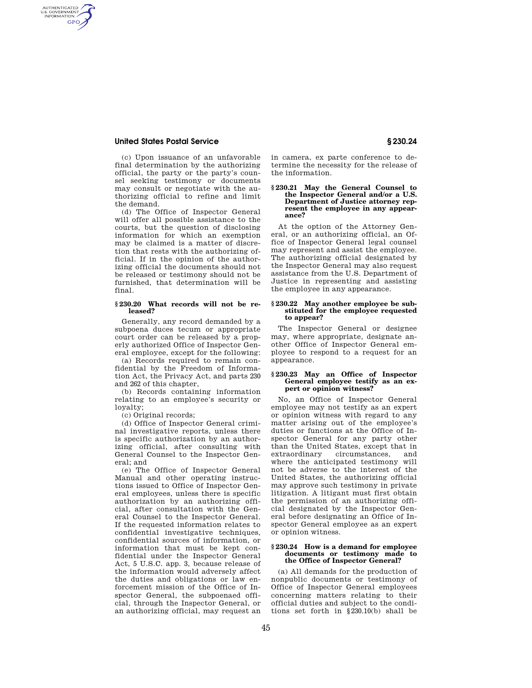# **United States Postal Service § 230.24**

AUTHENTICATED<br>U.S. GOVERNMENT<br>INFORMATION **GPO** 

> (c) Upon issuance of an unfavorable final determination by the authorizing official, the party or the party's counsel seeking testimony or documents may consult or negotiate with the authorizing official to refine and limit the demand.

> (d) The Office of Inspector General will offer all possible assistance to the courts, but the question of disclosing information for which an exemption may be claimed is a matter of discretion that rests with the authorizing official. If in the opinion of the authorizing official the documents should not be released or testimony should not be furnished, that determination will be final.

# **§ 230.20 What records will not be released?**

Generally, any record demanded by a subpoena duces tecum or appropriate court order can be released by a properly authorized Office of Inspector General employee, except for the following:

(a) Records required to remain confidential by the Freedom of Information Act, the Privacy Act, and parts 230 and 262 of this chapter,

(b) Records containing information relating to an employee's security or loyalty;

(c) Original records;

(d) Office of Inspector General criminal investigative reports, unless there is specific authorization by an authorizing official, after consulting with General Counsel to the Inspector General; and

(e) The Office of Inspector General Manual and other operating instructions issued to Office of Inspector General employees, unless there is specific authorization by an authorizing official, after consultation with the General Counsel to the Inspector General. If the requested information relates to confidential investigative techniques, confidential sources of information, or information that must be kept confidential under the Inspector General Act, 5 U.S.C. app. 3, because release of the information would adversely affect the duties and obligations or law enforcement mission of the Office of Inspector General, the subpoenaed official, through the Inspector General, or an authorizing official, may request an

in camera, ex parte conference to determine the necessity for the release of the information.

### **§ 230.21 May the General Counsel to the Inspector General and/or a U.S. Department of Justice attorney represent the employee in any appearance?**

At the option of the Attorney General, or an authorizing official, an Office of Inspector General legal counsel may represent and assist the employee. The authorizing official designated by the Inspector General may also request assistance from the U.S. Department of Justice in representing and assisting the employee in any appearance.

#### **§ 230.22 May another employee be substituted for the employee requested to appear?**

The Inspector General or designee may, where appropriate, designate another Office of Inspector General employee to respond to a request for an appearance.

### **§ 230.23 May an Office of Inspector General employee testify as an expert or opinion witness?**

No, an Office of Inspector General employee may not testify as an expert or opinion witness with regard to any matter arising out of the employee's duties or functions at the Office of Inspector General for any party other than the United States, except that in extraordinary circumstances, and where the anticipated testimony will not be adverse to the interest of the United States, the authorizing official may approve such testimony in private litigation. A litigant must first obtain the permission of an authorizing official designated by the Inspector General before designating an Office of Inspector General employee as an expert or opinion witness.

### **§ 230.24 How is a demand for employee documents or testimony made to the Office of Inspector General?**

(a) All demands for the production of nonpublic documents or testimony of Office of Inspector General employees concerning matters relating to their official duties and subject to the conditions set forth in  $\S$ 230.10(b) shall be